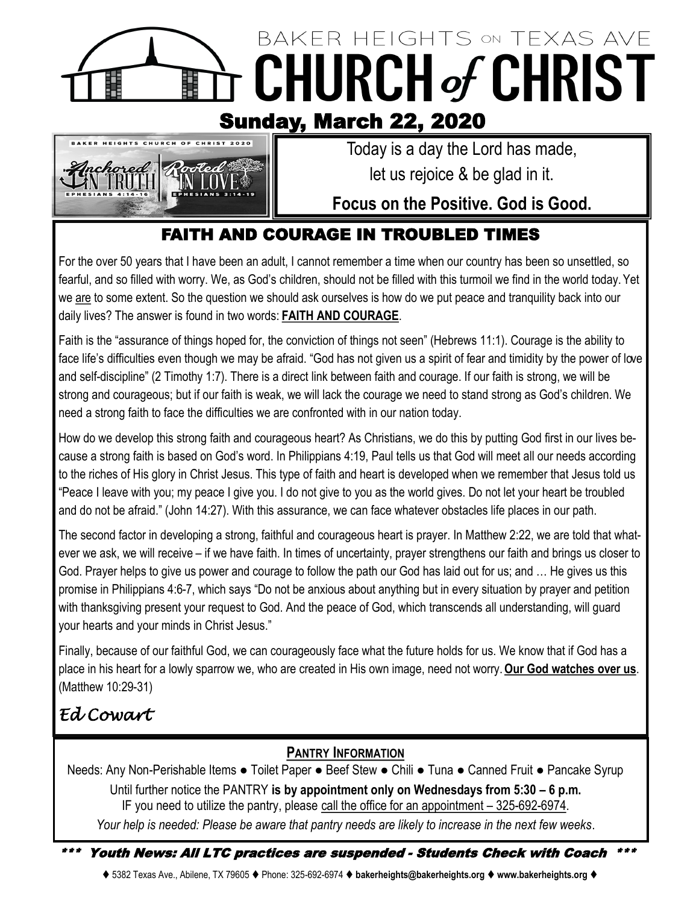## BAKER HEIGHTS ON TEXAS AVE **CHURCH of CHRIST** Ë 賱 Sunday, March 22, 2020



 Today is a day the Lord has made, let us rejoice & be glad in it.

## **Focus on the Positive. God is Good.**

## FAITH AND COURAGE IN TROUBLED TIMES

For the over 50 years that I have been an adult, I cannot remember a time when our country has been so unsettled, so fearful, and so filled with worry. We, as God's children, should not be filled with this turmoil we find in the world today. Yet we are to some extent. So the question we should ask ourselves is how do we put peace and tranquility back into our daily lives? The answer is found in two words: **FAITH AND COURAGE**.

Faith is the "assurance of things hoped for, the conviction of things not seen" (Hebrews 11:1). Courage is the ability to face life's difficulties even though we may be afraid. "God has not given us a spirit of fear and timidity by the power of love and self-discipline" (2 Timothy 1:7). There is a direct link between faith and courage. If our faith is strong, we will be strong and courageous; but if our faith is weak, we will lack the courage we need to stand strong as God's children. We need a strong faith to face the difficulties we are confronted with in our nation today.

How do we develop this strong faith and courageous heart? As Christians, we do this by putting God first in our lives because a strong faith is based on God's word. In Philippians 4:19, Paul tells us that God will meet all our needs according to the riches of His glory in Christ Jesus. This type of faith and heart is developed when we remember that Jesus told us "Peace I leave with you; my peace I give you. I do not give to you as the world gives. Do not let your heart be troubled and do not be afraid." (John 14:27). With this assurance, we can face whatever obstacles life places in our path.

The second factor in developing a strong, faithful and courageous heart is prayer. In Matthew 2:22, we are told that whatever we ask, we will receive – if we have faith. In times of uncertainty, prayer strengthens our faith and brings us closer to God. Prayer helps to give us power and courage to follow the path our God has laid out for us; and … He gives us this promise in Philippians 4:6-7, which says "Do not be anxious about anything but in every situation by prayer and petition with thanksgiving present your request to God. And the peace of God, which transcends all understanding, will guard your hearts and your minds in Christ Jesus."

Finally, because of our faithful God, we can courageously face what the future holds for us. We know that if God has a place in his heart for a lowly sparrow we, who are created in His own image, need not worry. **Our God watches over us**. (Matthew 10:29-31)

# *Ed Cowart*

### **PANTRY INFORMATION**

Needs: Any Non-Perishable Items · Toilet Paper · Beef Stew · Chili · Tuna · Canned Fruit · Pancake Syrup Until further notice the PANTRY **is by appointment only on Wednesdays from 5:30 – 6 p.m.**  IF you need to utilize the pantry, please call the office for an appointment – 325-692-6974. *Your help is needed: Please be aware that pantry needs are likely to increase in the next few weeks*.

\*\*\* Youth News: All LTC practices are suspended - Students Check with Coach \*\*\*

⧫ 5382 Texas Ave., Abilene, TX 79605 ⧫ Phone: 325-692-6974 ⧫ **bakerheights@bakerheights.org** ⧫ **www.bakerheights.org** ⧫